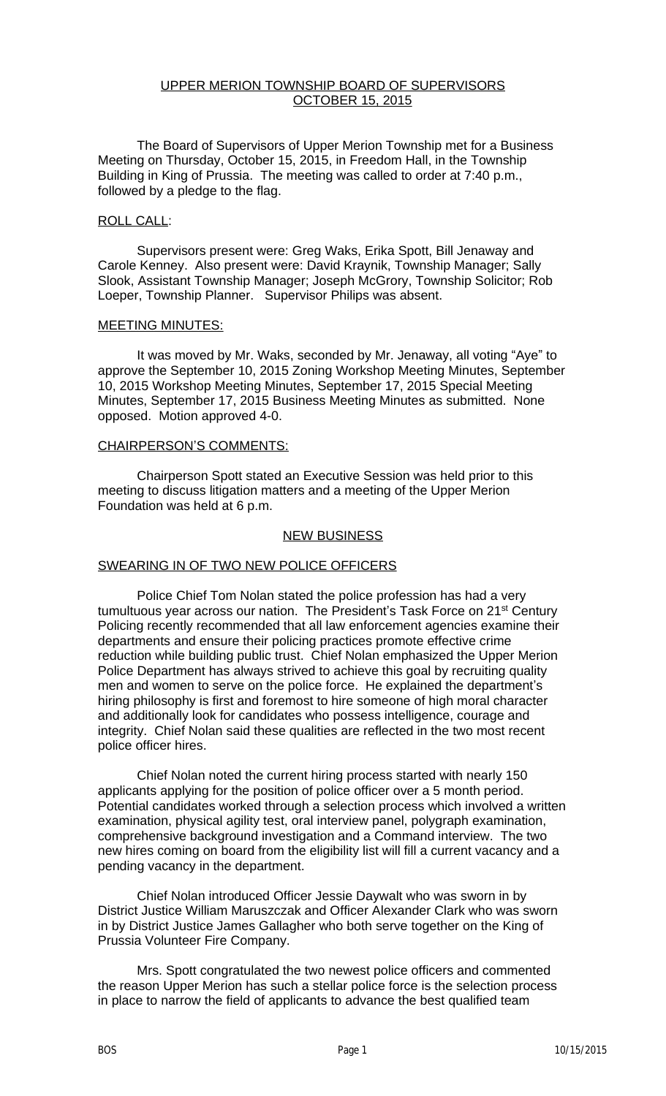# UPPER MERION TOWNSHIP BOARD OF SUPERVISORS OCTOBER 15, 2015

The Board of Supervisors of Upper Merion Township met for a Business Meeting on Thursday, October 15, 2015, in Freedom Hall, in the Township Building in King of Prussia. The meeting was called to order at 7:40 p.m., followed by a pledge to the flag.

#### ROLL CALL:

Supervisors present were: Greg Waks, Erika Spott, Bill Jenaway and Carole Kenney. Also present were: David Kraynik, Township Manager; Sally Slook, Assistant Township Manager; Joseph McGrory, Township Solicitor; Rob Loeper, Township Planner. Supervisor Philips was absent.

#### MEETING MINUTES:

It was moved by Mr. Waks, seconded by Mr. Jenaway, all voting "Aye" to approve the September 10, 2015 Zoning Workshop Meeting Minutes, September 10, 2015 Workshop Meeting Minutes, September 17, 2015 Special Meeting Minutes, September 17, 2015 Business Meeting Minutes as submitted. None opposed. Motion approved 4-0.

#### CHAIRPERSON'S COMMENTS:

Chairperson Spott stated an Executive Session was held prior to this meeting to discuss litigation matters and a meeting of the Upper Merion Foundation was held at 6 p.m.

### NEW BUSINESS

### SWEARING IN OF TWO NEW POLICE OFFICERS

Police Chief Tom Nolan stated the police profession has had a very tumultuous year across our nation. The President's Task Force on 21<sup>st</sup> Century Policing recently recommended that all law enforcement agencies examine their departments and ensure their policing practices promote effective crime reduction while building public trust. Chief Nolan emphasized the Upper Merion Police Department has always strived to achieve this goal by recruiting quality men and women to serve on the police force. He explained the department's hiring philosophy is first and foremost to hire someone of high moral character and additionally look for candidates who possess intelligence, courage and integrity. Chief Nolan said these qualities are reflected in the two most recent police officer hires.

Chief Nolan noted the current hiring process started with nearly 150 applicants applying for the position of police officer over a 5 month period. Potential candidates worked through a selection process which involved a written examination, physical agility test, oral interview panel, polygraph examination, comprehensive background investigation and a Command interview. The two new hires coming on board from the eligibility list will fill a current vacancy and a pending vacancy in the department.

Chief Nolan introduced Officer Jessie Daywalt who was sworn in by District Justice William Maruszczak and Officer Alexander Clark who was sworn in by District Justice James Gallagher who both serve together on the King of Prussia Volunteer Fire Company.

Mrs. Spott congratulated the two newest police officers and commented the reason Upper Merion has such a stellar police force is the selection process in place to narrow the field of applicants to advance the best qualified team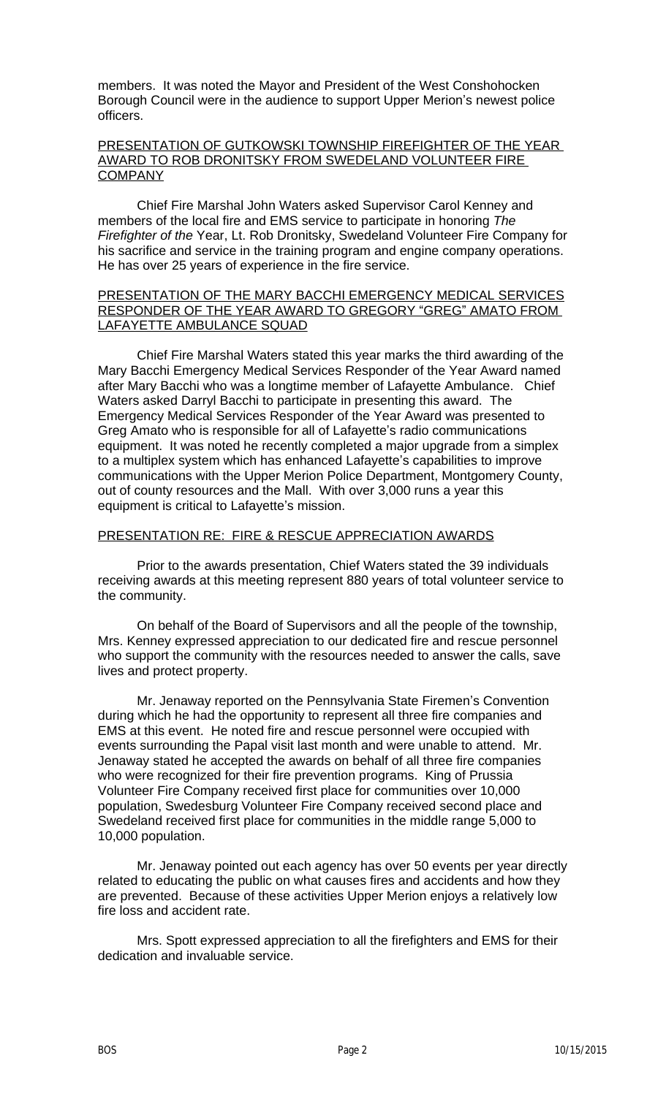members. It was noted the Mayor and President of the West Conshohocken Borough Council were in the audience to support Upper Merion's newest police officers.

### PRESENTATION OF GUTKOWSKI TOWNSHIP FIREFIGHTER OF THE YEAR AWARD TO ROB DRONITSKY FROM SWEDELAND VOLUNTEER FIRE COMPANY

Chief Fire Marshal John Waters asked Supervisor Carol Kenney and members of the local fire and EMS service to participate in honoring *The Firefighter of the* Year, Lt. Rob Dronitsky, Swedeland Volunteer Fire Company for his sacrifice and service in the training program and engine company operations. He has over 25 years of experience in the fire service.

## PRESENTATION OF THE MARY BACCHI EMERGENCY MEDICAL SERVICES RESPONDER OF THE YEAR AWARD TO GREGORY "GREG" AMATO FROM LAFAYETTE AMBULANCE SQUAD

Chief Fire Marshal Waters stated this year marks the third awarding of the Mary Bacchi Emergency Medical Services Responder of the Year Award named after Mary Bacchi who was a longtime member of Lafayette Ambulance. Chief Waters asked Darryl Bacchi to participate in presenting this award. The Emergency Medical Services Responder of the Year Award was presented to Greg Amato who is responsible for all of Lafayette's radio communications equipment. It was noted he recently completed a major upgrade from a simplex to a multiplex system which has enhanced Lafayette's capabilities to improve communications with the Upper Merion Police Department, Montgomery County, out of county resources and the Mall. With over 3,000 runs a year this equipment is critical to Lafayette's mission.

# PRESENTATION RE: FIRE & RESCUE APPRECIATION AWARDS

Prior to the awards presentation, Chief Waters stated the 39 individuals receiving awards at this meeting represent 880 years of total volunteer service to the community.

On behalf of the Board of Supervisors and all the people of the township, Mrs. Kenney expressed appreciation to our dedicated fire and rescue personnel who support the community with the resources needed to answer the calls, save lives and protect property.

Mr. Jenaway reported on the Pennsylvania State Firemen's Convention during which he had the opportunity to represent all three fire companies and EMS at this event. He noted fire and rescue personnel were occupied with events surrounding the Papal visit last month and were unable to attend. Mr. Jenaway stated he accepted the awards on behalf of all three fire companies who were recognized for their fire prevention programs. King of Prussia Volunteer Fire Company received first place for communities over 10,000 population, Swedesburg Volunteer Fire Company received second place and Swedeland received first place for communities in the middle range 5,000 to 10,000 population.

Mr. Jenaway pointed out each agency has over 50 events per year directly related to educating the public on what causes fires and accidents and how they are prevented. Because of these activities Upper Merion enjoys a relatively low fire loss and accident rate.

Mrs. Spott expressed appreciation to all the firefighters and EMS for their dedication and invaluable service.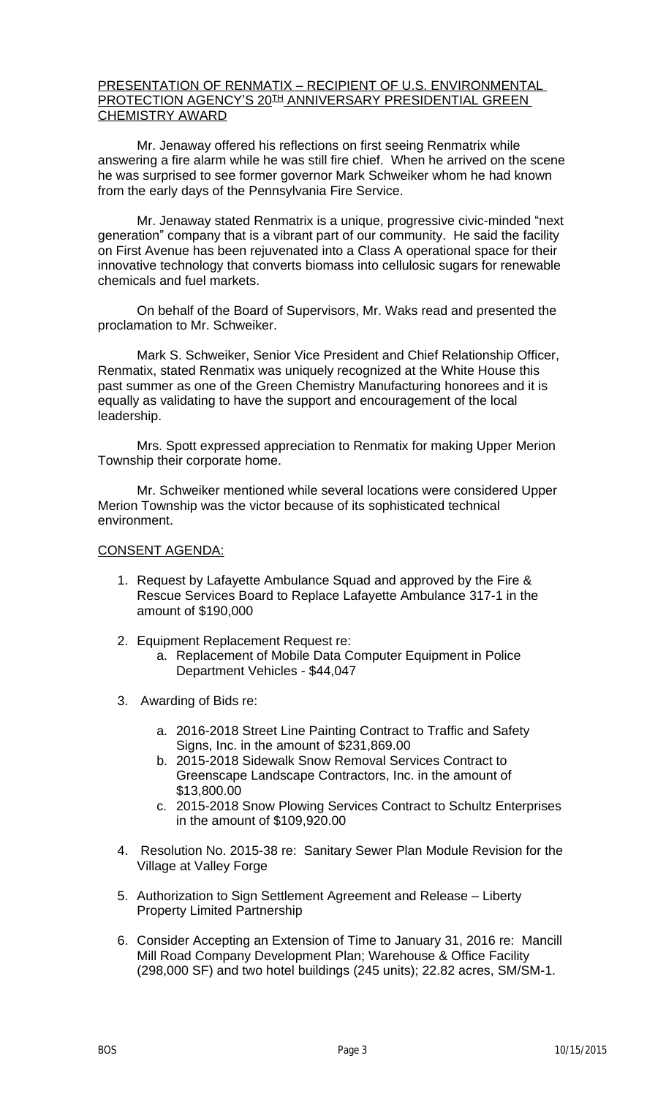## PRESENTATION OF RENMATIX – RECIPIENT OF U.S. ENVIRONMENTAL PROTECTION AGENCY'S 20TH ANNIVERSARY PRESIDENTIAL GREEN CHEMISTRY AWARD

Mr. Jenaway offered his reflections on first seeing Renmatrix while answering a fire alarm while he was still fire chief. When he arrived on the scene he was surprised to see former governor Mark Schweiker whom he had known from the early days of the Pennsylvania Fire Service.

Mr. Jenaway stated Renmatrix is a unique, progressive civic-minded "next generation" company that is a vibrant part of our community. He said the facility on First Avenue has been rejuvenated into a Class A operational space for their innovative technology that converts biomass into cellulosic sugars for renewable chemicals and fuel markets.

On behalf of the Board of Supervisors, Mr. Waks read and presented the proclamation to Mr. Schweiker.

Mark S. Schweiker, Senior Vice President and Chief Relationship Officer, Renmatix, stated Renmatix was uniquely recognized at the White House this past summer as one of the Green Chemistry Manufacturing honorees and it is equally as validating to have the support and encouragement of the local leadership.

Mrs. Spott expressed appreciation to Renmatix for making Upper Merion Township their corporate home.

Mr. Schweiker mentioned while several locations were considered Upper Merion Township was the victor because of its sophisticated technical environment.

### CONSENT AGENDA:

- 1. Request by Lafayette Ambulance Squad and approved by the Fire & Rescue Services Board to Replace Lafayette Ambulance 317-1 in the amount of \$190,000
- 2. Equipment Replacement Request re:
	- a. Replacement of Mobile Data Computer Equipment in Police Department Vehicles - \$44,047
- 3. Awarding of Bids re:
	- a. 2016-2018 Street Line Painting Contract to Traffic and Safety Signs, Inc. in the amount of \$231,869.00
	- b. 2015-2018 Sidewalk Snow Removal Services Contract to Greenscape Landscape Contractors, Inc. in the amount of \$13,800.00
	- c. 2015-2018 Snow Plowing Services Contract to Schultz Enterprises in the amount of \$109,920.00
- 4. Resolution No. 2015-38 re: Sanitary Sewer Plan Module Revision for the Village at Valley Forge
- 5. Authorization to Sign Settlement Agreement and Release Liberty Property Limited Partnership
- 6. Consider Accepting an Extension of Time to January 31, 2016 re: Mancill Mill Road Company Development Plan; Warehouse & Office Facility (298,000 SF) and two hotel buildings (245 units); 22.82 acres, SM/SM-1.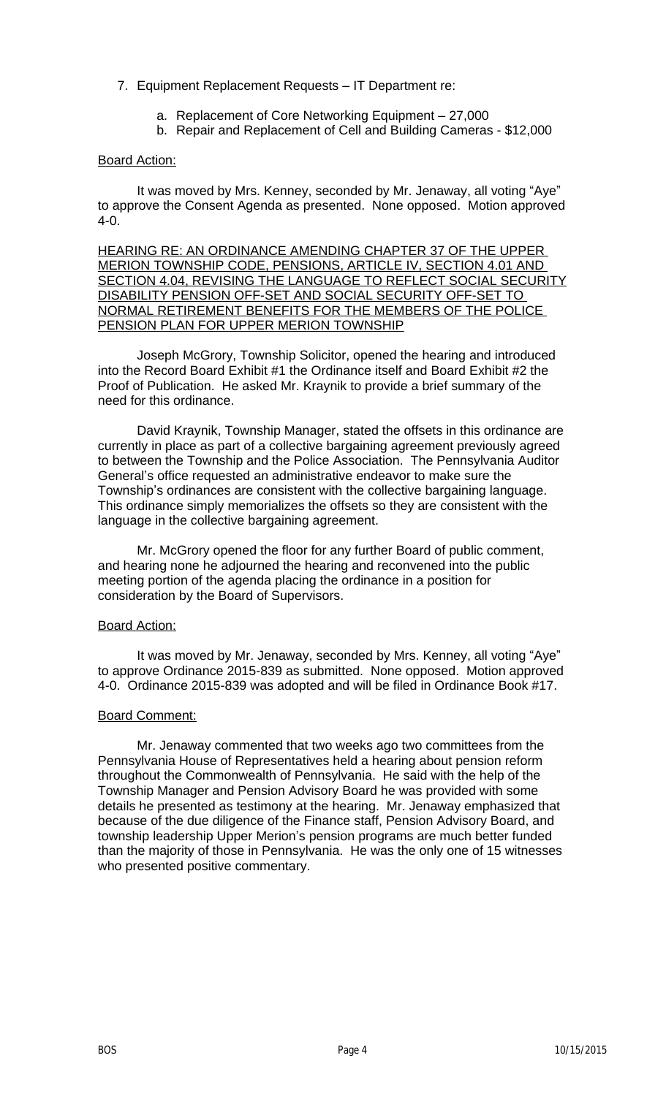# 7. Equipment Replacement Requests – IT Department re:

- a. Replacement of Core Networking Equipment 27,000
- b. Repair and Replacement of Cell and Building Cameras \$12,000

# Board Action:

It was moved by Mrs. Kenney, seconded by Mr. Jenaway, all voting "Aye" to approve the Consent Agenda as presented. None opposed. Motion approved 4-0.

HEARING RE: AN ORDINANCE AMENDING CHAPTER 37 OF THE UPPER MERION TOWNSHIP CODE, PENSIONS, ARTICLE IV, SECTION 4.01 AND SECTION 4.04, REVISING THE LANGUAGE TO REFLECT SOCIAL SECURITY DISABILITY PENSION OFF-SET AND SOCIAL SECURITY OFF-SET TO NORMAL RETIREMENT BENEFITS FOR THE MEMBERS OF THE POLICE PENSION PLAN FOR UPPER MERION TOWNSHIP

Joseph McGrory, Township Solicitor, opened the hearing and introduced into the Record Board Exhibit #1 the Ordinance itself and Board Exhibit #2 the Proof of Publication. He asked Mr. Kraynik to provide a brief summary of the need for this ordinance.

David Kraynik, Township Manager, stated the offsets in this ordinance are currently in place as part of a collective bargaining agreement previously agreed to between the Township and the Police Association. The Pennsylvania Auditor General's office requested an administrative endeavor to make sure the Township's ordinances are consistent with the collective bargaining language. This ordinance simply memorializes the offsets so they are consistent with the language in the collective bargaining agreement.

Mr. McGrory opened the floor for any further Board of public comment, and hearing none he adjourned the hearing and reconvened into the public meeting portion of the agenda placing the ordinance in a position for consideration by the Board of Supervisors.

### Board Action:

It was moved by Mr. Jenaway, seconded by Mrs. Kenney, all voting "Aye" to approve Ordinance 2015-839 as submitted. None opposed. Motion approved 4-0. Ordinance 2015-839 was adopted and will be filed in Ordinance Book #17.

### Board Comment:

Mr. Jenaway commented that two weeks ago two committees from the Pennsylvania House of Representatives held a hearing about pension reform throughout the Commonwealth of Pennsylvania. He said with the help of the Township Manager and Pension Advisory Board he was provided with some details he presented as testimony at the hearing. Mr. Jenaway emphasized that because of the due diligence of the Finance staff, Pension Advisory Board, and township leadership Upper Merion's pension programs are much better funded than the majority of those in Pennsylvania. He was the only one of 15 witnesses who presented positive commentary.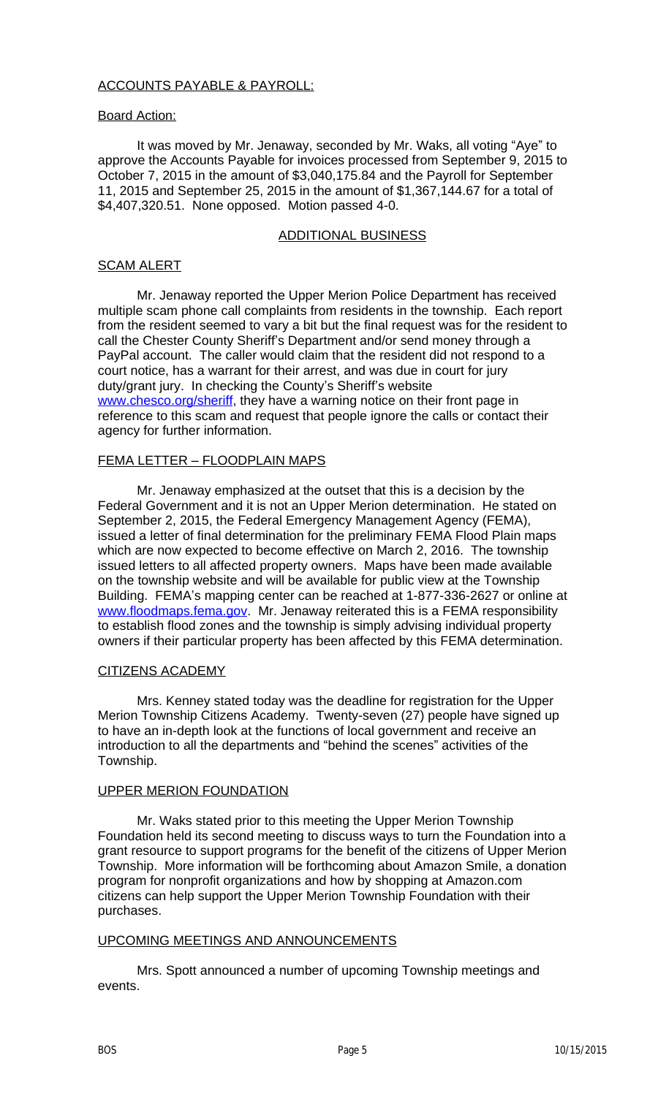#### SCAM ALERT

Mr. Jenaway reported the Upper Merion Police Department has received multiple scam phone call complaints from residents in the township. Each report from the resident seemed to vary a bit but the final request was for the resident to call the Chester County Sheriff's Department and/or send money through a PayPal account. The caller would claim that the resident did not respond to a court notice, has a warrant for their arrest, and was due in court for jury duty/grant jury. In checking the County's Sheriff's website www.chesco.org/sheriff, they have a warning notice on their front page in reference to this scam and request that people ignore the calls or contact their agency for further information.

#### FEMA LETTER – FLOODPLAIN MAPS

Mr. Jenaway emphasized at the outset that this is a decision by the Federal Government and it is not an Upper Merion determination. He stated on September 2, 2015, the Federal Emergency Management Agency (FEMA), issued a letter of final determination for the preliminary FEMA Flood Plain maps which are now expected to become effective on March 2, 2016. The township issued letters to all affected property owners. Maps have been made available on the township website and will be available for public view at the Township Building. FEMA's mapping center can be reached at 1-877-336-2627 or online at www.floodmaps.fema.gov. Mr. Jenaway reiterated this is a FEMA responsibility to establish flood zones and the township is simply advising individual property [owners if their particular](http://www.chesco.org/sheriff) property has been affected by this FEMA determination.

#### CITIZENS ACADEMY

Mrs. Kenney stated today was the deadline for registration for the Upper Merion Township Citizens Academy. Twenty-seven (27) people have signed up to have an in-depth look at the functions of local government and receive an introduction to all the departments and "behind the scenes" activities of the Township.

#### UPPER MERION FOUNDATION

Mr. Waks stated prior to this meeting the Upper Merion Township Foundation held its second meeting to discuss ways to turn the Foundation into a [grant resource to support](http://www.floodmaps.fema.gov) programs for the benefit of the citizens of Upper Merion Township. More information will be forthcoming about Amazon Smile, a donation program for nonprofit organizations and how by shopping at Amazon.com citizens can help support the Upper Merion Township Foundation with their purchases.

#### UPCOMING MEETINGS AND ANNOUNCEMENTS

Mrs. Spott announced a number of upcoming Township meetings and events.